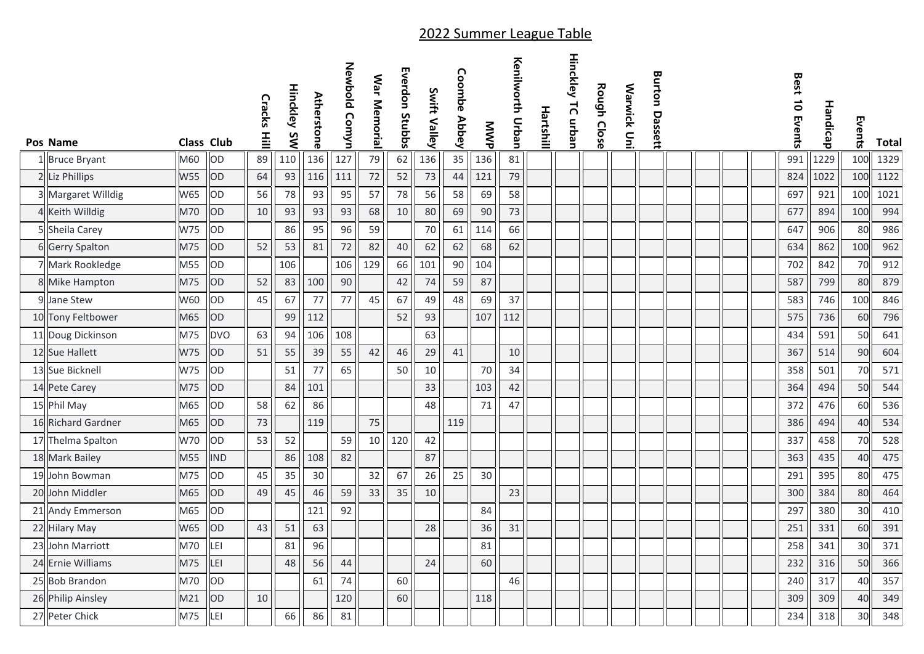|    | Pos Name           | <b>Class Club</b> |            | Cracks<br>플 | <b>Hinckley</b><br>SW | <b>Atherstone</b> | Newbold Comyn | War Memorial | Everdon Stubbs | Swift<br><b>Valley</b> | Coombe<br><b>Abbey</b> | MWP | Kenjiworth Crban | Hartshill | <b>Hinckley</b><br>TC urban | Rough Close | Warwick Uni | Burton<br>Dassett |  |  | Best 10 Events | Handicap | Events | Total |
|----|--------------------|-------------------|------------|-------------|-----------------------|-------------------|---------------|--------------|----------------|------------------------|------------------------|-----|------------------|-----------|-----------------------------|-------------|-------------|-------------------|--|--|----------------|----------|--------|-------|
|    | 1 Bruce Bryant     | M60               | OD         | 89          | 110                   | 136               | 127           | 79           | 62             | 136                    | 35                     | 136 | 81               |           |                             |             |             |                   |  |  | 991            | 1229     | 100    | 1329  |
|    | 2 Liz Phillips     | <b>W55</b>        | OD         | 64          | 93                    | 116               | 111           | 72           | 52             | 73                     | 44                     | 121 | 79               |           |                             |             |             |                   |  |  | 824            | 1022     | 100    | 1122  |
|    | Margaret Willdig   | W65               | OD         | 56          | 78                    | 93                | 95            | 57           | 78             | 56                     | 58                     | 69  | 58               |           |                             |             |             |                   |  |  | 697            | 921      | 100    | 1021  |
|    | 4 Keith Willdig    | M70               | OD         | 10          | 93                    | 93                | 93            | 68           | 10             | 80                     | 69                     | 90  | 73               |           |                             |             |             |                   |  |  | 677            | 894      | 100    | 994   |
|    | 5 Sheila Carey     | <b>W75</b>        | OD         |             | 86                    | 95                | 96            | 59           |                | 70                     | 61                     | 114 | 66               |           |                             |             |             |                   |  |  | 647            | 906      | 80     | 986   |
|    | 6 Gerry Spalton    | M75               | OD         | 52          | 53                    | 81                | 72            | 82           | 40             | 62                     | 62                     | 68  | 62               |           |                             |             |             |                   |  |  | 634            | 862      | 100    | 962   |
|    | 7 Mark Rookledge   | M55               | OD         |             | 106                   |                   | 106           | 129          | 66             | 101                    | 90                     | 104 |                  |           |                             |             |             |                   |  |  | 702            | 842      | 70     | 912   |
|    | 8 Mike Hampton     | M75               | OD         | 52          | 83                    | 100               | 90            |              | 42             | 74                     | 59                     | 87  |                  |           |                             |             |             |                   |  |  | 587            | 799      | 80     | 879   |
| 91 | Jane Stew          | W60               | OD         | 45          | 67                    | 77                | 77            | 45           | 67             | 49                     | 48                     | 69  | 37               |           |                             |             |             |                   |  |  | 583            | 746      | 100    | 846   |
|    | 10 Tony Feltbower  | M65               | OD         |             | 99                    | 112               |               |              | 52             | 93                     |                        | 107 | 112              |           |                             |             |             |                   |  |  | 575            | 736      | 60     | 796   |
|    | 11 Doug Dickinson  | M75               | <b>DVO</b> | 63          | 94                    | 106               | 108           |              |                | 63                     |                        |     |                  |           |                             |             |             |                   |  |  | 434            | 591      | 50     | 641   |
|    | 12 Sue Hallett     | W75               | OD         | 51          | 55                    | 39                | 55            | 42           | 46             | 29                     | 41                     |     | 10               |           |                             |             |             |                   |  |  | 367            | 514      | 90     | 604   |
|    | 13 Sue Bicknell    | W75               | OD         |             | 51                    | 77                | 65            |              | 50             | 10                     |                        | 70  | 34               |           |                             |             |             |                   |  |  | 358            | 501      | 70     | 571   |
|    | 14 Pete Carey      | M75               | OD         |             | 84                    | 101               |               |              |                | 33                     |                        | 103 | 42               |           |                             |             |             |                   |  |  | 364            | 494      | 50     | 544   |
|    | 15 Phil May        | M65               | OD         | 58          | 62                    | 86                |               |              |                | 48                     |                        | 71  | 47               |           |                             |             |             |                   |  |  | 372            | 476      | 60     | 536   |
|    | 16 Richard Gardner | M65               | OD         | 73          |                       | 119               |               | 75           |                |                        | 119                    |     |                  |           |                             |             |             |                   |  |  | 386            | 494      | 40     | 534   |
|    | 17 Thelma Spalton  | W70               | OD         | 53          | 52                    |                   | 59            | 10           | 120            | 42                     |                        |     |                  |           |                             |             |             |                   |  |  | 337            | 458      | 70     | 528   |
|    | 18 Mark Bailey     | M55               | <b>IND</b> |             | 86                    | 108               | 82            |              |                | 87                     |                        |     |                  |           |                             |             |             |                   |  |  | 363            | 435      | 40     | 475   |
|    | 19 John Bowman     | M75               | OD         | 45          | 35                    | 30                |               | 32           | 67             | 26                     | 25                     | 30  |                  |           |                             |             |             |                   |  |  | 291            | 395      | 80     | 475   |
|    | 20 John Middler    | M65               | OD         | 49          | 45                    | 46                | 59            | 33           | 35             | 10                     |                        |     | 23               |           |                             |             |             |                   |  |  | 300            | 384      | 80     | 464   |
|    | 21 Andy Emmerson   | M65               | OD         |             |                       | 121               | 92            |              |                |                        |                        | 84  |                  |           |                             |             |             |                   |  |  | 297            | 380      | 30     | 410   |
|    | 22 Hilary May      | W65               | OD         | 43          | 51                    | 63                |               |              |                | 28                     |                        | 36  | 31               |           |                             |             |             |                   |  |  | 251            | 331      | 60     | 391   |
|    | 23 John Marriott   | M70               | LEI        |             | 81                    | 96                |               |              |                |                        |                        | 81  |                  |           |                             |             |             |                   |  |  | 258            | 341      | 30     | 371   |
|    | 24 Ernie Williams  | M75               | LEI        |             | 48                    | 56                | 44            |              |                | 24                     |                        | 60  |                  |           |                             |             |             |                   |  |  | 232            | 316      | 50     | 366   |
|    | 25 Bob Brandon     | M70               | OD         |             |                       | 61                | 74            |              | 60             |                        |                        |     | 46               |           |                             |             |             |                   |  |  | 240            | 317      | 40     | 357   |
|    | 26 Philip Ainsley  | M21               | OD         | 10          |                       |                   | 120           |              | 60             |                        |                        | 118 |                  |           |                             |             |             |                   |  |  | 309            | 309      | 40     | 349   |
|    | 27 Peter Chick     | M75               | LEI        |             | 66                    | 86                | 81            |              |                |                        |                        |     |                  |           |                             |             |             |                   |  |  | 234            | 318      | 30     | 348   |

## 2022 Summer League Table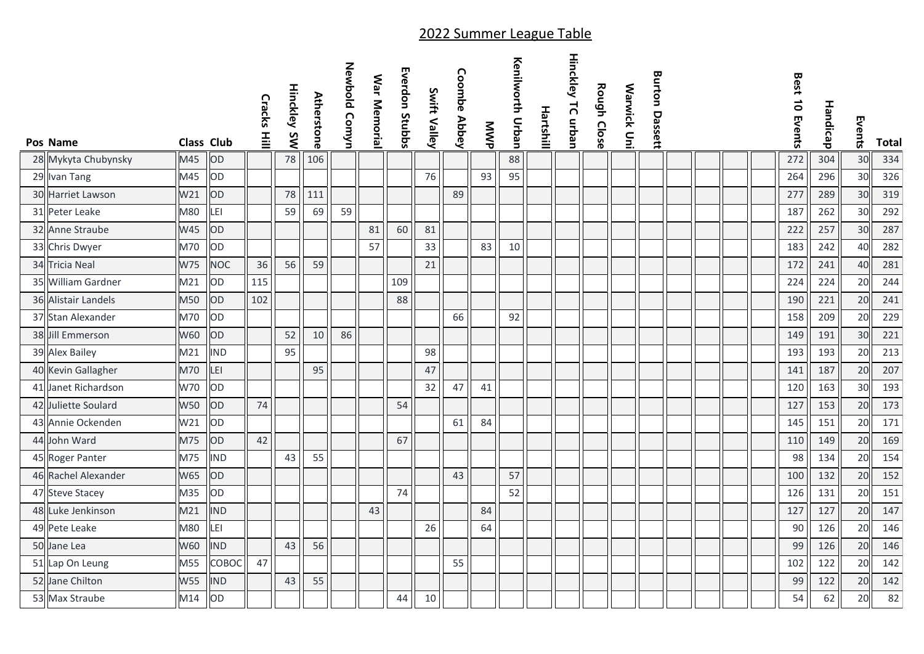| Pos Name            | <b>Class Club</b> |            | Cracks Hill | <b>Hinckley</b><br>SW | <b>Atherstone</b> | Newbold Comyn | War Memorial | Everdon Stubbs | Swift Valley | <b>Coombe Abbey</b> | MWP | Kenilyorth Drban | Hartshill | <b>Hinckley TC urban</b> | Rough Close | <b>Warwick Uni</b> | <b>Burton Dassett</b> |  | Best 10 Events | Handicap | Events | <b>Total</b> |
|---------------------|-------------------|------------|-------------|-----------------------|-------------------|---------------|--------------|----------------|--------------|---------------------|-----|------------------|-----------|--------------------------|-------------|--------------------|-----------------------|--|----------------|----------|--------|--------------|
| 28 Mykyta Chubynsky | M45               | OD         |             | 78                    | 106               |               |              |                |              |                     |     | 88               |           |                          |             |                    |                       |  | 272            | 304      | 30     | 334          |
| 29 Ivan Tang        | M45               | OD         |             |                       |                   |               |              |                | 76           |                     | 93  | 95               |           |                          |             |                    |                       |  | 264            | 296      | 30     | 326          |
| 30 Harriet Lawson   | W21               | OD         |             | 78                    | 111               |               |              |                |              | 89                  |     |                  |           |                          |             |                    |                       |  | 277            | 289      | 30     | 319          |
| 31 Peter Leake      | M80               | LEI        |             | 59                    | 69                | 59            |              |                |              |                     |     |                  |           |                          |             |                    |                       |  | 187            | 262      | 30     | 292          |
| 32 Anne Straube     | W45               | OD         |             |                       |                   |               | 81           | 60             | 81           |                     |     |                  |           |                          |             |                    |                       |  | 222            | 257      | 30     | 287          |
| 33 Chris Dwyer      | M70               | OD         |             |                       |                   |               | 57           |                | 33           |                     | 83  | 10               |           |                          |             |                    |                       |  | 183            | 242      | 40     | 282          |
| 34 Tricia Neal      | W75               | <b>NOC</b> | 36          | 56                    | 59                |               |              |                | 21           |                     |     |                  |           |                          |             |                    |                       |  | 172            | 241      | 40     | 281          |
| 35 William Gardner  | M21               | OD         | 115         |                       |                   |               |              | 109            |              |                     |     |                  |           |                          |             |                    |                       |  | 224            | 224      | 20     | 244          |
| 36 Alistair Landels | M50               | OD         | 102         |                       |                   |               |              | 88             |              |                     |     |                  |           |                          |             |                    |                       |  | 190            | 221      | 20     | 241          |
| 37 Stan Alexander   | M70               | OD         |             |                       |                   |               |              |                |              | 66                  |     | 92               |           |                          |             |                    |                       |  | 158            | 209      | 20     | 229          |
| 38 Jill Emmerson    | W60               | OD         |             | 52                    | 10                | 86            |              |                |              |                     |     |                  |           |                          |             |                    |                       |  | 149            | 191      | 30     | 221          |
| 39 Alex Bailey      | M21               | <b>IND</b> |             | 95                    |                   |               |              |                | 98           |                     |     |                  |           |                          |             |                    |                       |  | 193            | 193      | 20     | 213          |
| 40 Kevin Gallagher  | M70               | LEI        |             |                       | 95                |               |              |                | 47           |                     |     |                  |           |                          |             |                    |                       |  | 141            | 187      | 20     | 207          |
| 41 Janet Richardson | W70               | OD         |             |                       |                   |               |              |                | 32           | 47                  | 41  |                  |           |                          |             |                    |                       |  | 120            | 163      | 30     | 193          |
| 42 Juliette Soulard | <b>W50</b>        | OD         | 74          |                       |                   |               |              | 54             |              |                     |     |                  |           |                          |             |                    |                       |  | 127            | 153      | 20     | 173          |
| 43 Annie Ockenden   | W21               | OD         |             |                       |                   |               |              |                |              | 61                  | 84  |                  |           |                          |             |                    |                       |  | 145            | 151      | 20     | 171          |
| 44 John Ward        | M75               | OD         | 42          |                       |                   |               |              | 67             |              |                     |     |                  |           |                          |             |                    |                       |  | 110            | 149      | 20     | 169          |
| 45 Roger Panter     | M75               | <b>IND</b> |             | 43                    | 55                |               |              |                |              |                     |     |                  |           |                          |             |                    |                       |  | 98             | 134      | 20     | 154          |
| 46 Rachel Alexander | W65               | OD         |             |                       |                   |               |              |                |              | 43                  |     | 57               |           |                          |             |                    |                       |  | 100            | 132      | 20     | 152          |
| 47 Steve Stacey     | M35               | OD         |             |                       |                   |               |              | 74             |              |                     |     | 52               |           |                          |             |                    |                       |  | 126            | 131      | 20     | 151          |
| 48 Luke Jenkinson   | M21               | <b>IND</b> |             |                       |                   |               | 43           |                |              |                     | 84  |                  |           |                          |             |                    |                       |  | 127            | 127      | 20     | 147          |
| 49 Pete Leake       | M80               | LEI        |             |                       |                   |               |              |                | 26           |                     | 64  |                  |           |                          |             |                    |                       |  | 90             | 126      | 20     | 146          |
| 50 Jane Lea         | W60               | <b>IND</b> |             | 43                    | 56                |               |              |                |              |                     |     |                  |           |                          |             |                    |                       |  | 99             | 126      | 20     | 146          |
| 51 Lap On Leung     | M55               | СОВОС      | 47          |                       |                   |               |              |                |              | 55                  |     |                  |           |                          |             |                    |                       |  | 102            | 122      | 20     | 142          |
| 52 Jane Chilton     | W55               | <b>IND</b> |             | 43                    | 55                |               |              |                |              |                     |     |                  |           |                          |             |                    |                       |  | 99             | 122      | 20     | 142          |
| 53 Max Straube      | M14               | OD         |             |                       |                   |               |              | 44             | 10           |                     |     |                  |           |                          |             |                    |                       |  | 54             | 62       | 20     | 82           |

## 2022 Summer League Table